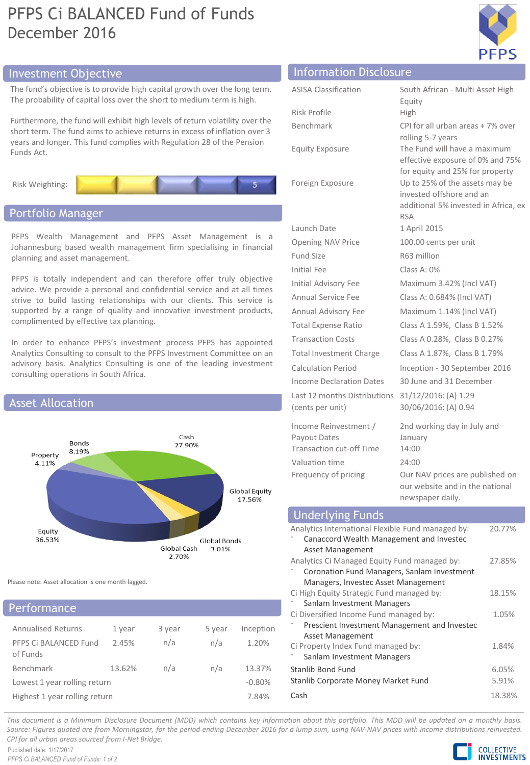## PFPS Ci BALANCED Fund of Funds December 2016



## Investment Objective Information Disclosure

The fund's objective is to provide high capital growth over the long term. The probability of capital loss over the short to medium term is high.

Furthermore, the fund will exhibit high levels of return volatility over the short term. The fund aims to achieve returns in excess of inflation over 3 years and longer. This fund complies with Regulation 28 of the Pension Funds Act.



## Portfolio Manager

PFPS Wealth Management and PFPS Asset Management is a Johannesburg based wealth management firm specialising in financial planning and asset management.

PFPS is totally independent and can therefore offer truly objective advice. We provide a personal and confidential service and at all times strive to build lasting relationships with our clients. This service is supported by a range of quality and innovative investment products, complimented by effective tax planning.

In order to enhance PFPS's investment process PFPS has appointed Analytics Consulting to consult to the PFPS Investment Committee on an advisory basis. Analytics Consulting is one of the leading investment consulting operations in South Africa.



Please note: Asset allocation is one month lagged.

## **Performance**

| <b>Annualised Returns</b>     | 1 year | 3 year | 5 year | Inception |
|-------------------------------|--------|--------|--------|-----------|
| PFPS Ci BALANCED Fund         | 2.45%  | n/a    | n/a    | 1.20%     |
| of Funds                      |        |        |        |           |
| Benchmark                     | 13.62% | n/a    | n/a    | 13.37%    |
| Lowest 1 year rolling return  |        |        |        | $-0.80%$  |
| Highest 1 year rolling return |        |        |        | 7.84%     |

| <b>INTO THUGGOT DISCRETE</b>                     |                                                                                                                  |
|--------------------------------------------------|------------------------------------------------------------------------------------------------------------------|
| <b>ASISA Classification</b>                      | South African - Multi Asset High<br>Equity                                                                       |
| <b>Risk Profile</b>                              | High                                                                                                             |
| Benchmark                                        | CPI for all urban areas + 7% over<br>rolling 5-7 years                                                           |
| <b>Equity Exposure</b>                           | The Fund will have a maximum<br>effective exposure of 0% and 75%<br>for equity and 25% for property              |
| Foreign Exposure                                 | Up to 25% of the assets may be<br>invested offshore and an<br>additional 5% invested in Africa, ex<br><b>RSA</b> |
| Launch Date                                      | 1 April 2015                                                                                                     |
| <b>Opening NAV Price</b>                         | 100.00 cents per unit                                                                                            |
| Fund Size                                        | R63 million                                                                                                      |
| Initial Fee                                      | Class A: 0%                                                                                                      |
| Initial Advisory Fee                             | Maximum 3.42% (Incl VAT)                                                                                         |
| Annual Service Fee                               | Class A: 0.684% (Incl VAT)                                                                                       |
| Annual Advisory Fee                              | Maximum 1.14% (Incl VAT)                                                                                         |
| <b>Total Expense Ratio</b>                       | Class A 1.59%, Class B 1.52%                                                                                     |
| <b>Transaction Costs</b>                         | Class A 0.28%, Class B 0.27%                                                                                     |
| <b>Total Investment Charge</b>                   | Class A 1.87%, Class B 1.79%                                                                                     |
| <b>Calculation Period</b>                        | Inception - 30 September 2016                                                                                    |
| Income Declaration Dates                         | 30 June and 31 December                                                                                          |
| Last 12 months Distributions<br>(cents per unit) | 31/12/2016: (A) 1.29<br>30/06/2016: (A) 0.94                                                                     |
| Income Reinvestment /<br>Payout Dates            | 2nd working day in July and<br>January                                                                           |

Transaction cut-off Time 14:00 Valuation time 24:00 Frequency of pricing **OUR DEAT OUR DEAT OUR AV** prices are published on our website and in the national newspaper daily.

#### Analytics International Flexible Fund managed by: ⁻ Canaccord Wealth Management and Investec Asset Management 20.77% Analytics Ci Managed Equity Fund managed by: ⁻ Coronation Fund Managers, Sanlam Investment Managers, Investec Asset Management 27.85% Ci High Equity Strategic Fund managed by: Sanlam Investment Managers 18.15% Ci Diversified Income Fund managed by: ⁻ Prescient Investment Management and Investec Asset Management 1.05% Ci Property Index Fund managed by: Sanlam Investment Managers 1.84% Stanlib Bond Fund 6.05% Stanlib Corporate Money Market Fund 5.91% Cash 18.38% Underlying Funds

This document is a Minimum Disclosure Document (MDD) which contains key information about this portfolio. This MDD will be updated on a monthly basis. Source: Figures guoted are from Morningstar, for the period ending December 2016 for a lump sum, using NAV-NAV prices with income distributions reinvested. *CPI for all urban areas sourced from I-Net Bridge.*

Published date: 1/17/2017 *PFPS Ci BALANCED Fund of Funds: 1 of 2*